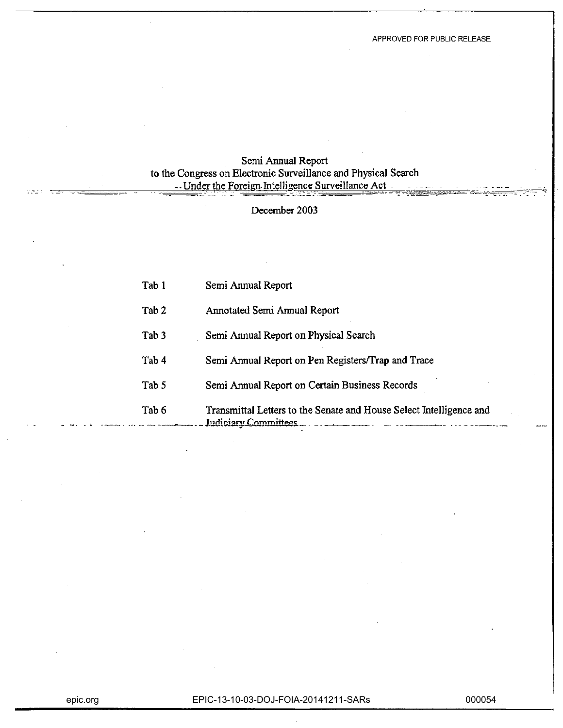## Semi Annual Report to the Congress on Electronic Surveillance and Physical Search - Under the Foreign Intelligence Surveillance Act -

### December 2003

| Tab 1            | Semi Annual Report                                                                          |
|------------------|---------------------------------------------------------------------------------------------|
| Tab <sub>2</sub> | Annotated Semi Annual Report                                                                |
| Tab <sub>3</sub> | Semi Annual Report on Physical Search                                                       |
| Tab <sub>4</sub> | Semi Annual Report on Pen Registers/Trap and Trace                                          |
| Tab 5            | Semi Annual Report on Certain Business Records                                              |
| Tab 6            | Transmittal Letters to the Senate and House Select Intelligence and<br>Judiciary Committees |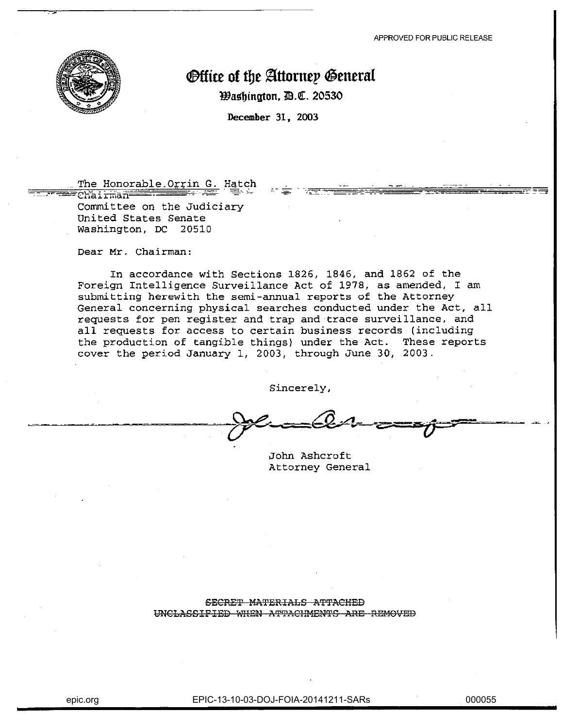

# **Office of the Attorney General**

**Washington, B.C. 20530** 

December 31, 2003

### The Honorable Orrin G. Hatch

<del>- - - ch</del>ai<del>rman</del> Committee on the Judiciary United States Senate Washington, DC 20510

Dear Mr. Chairman:

In accordance with Sections 1826, 1846, and 1862 of the Foreign Intelligence Surveillance Act of 1978, as amended, I am submitting herewith the semi-annual reports of the Attorney General concerning physical searches conducted under the Act, all requests for pen register and trap and trace surveillance, and all requests for access to certain business records (including the production of tangible things) under the Act. These reports cover the period January 1, 2003, through June 30, 2003.

Sincerely,

John Ashcroft Attorney General

#### SECRET MATERIALS ATTACHED UNCLASSIFIED WHEN ATTACHMENTS ARE REMOVED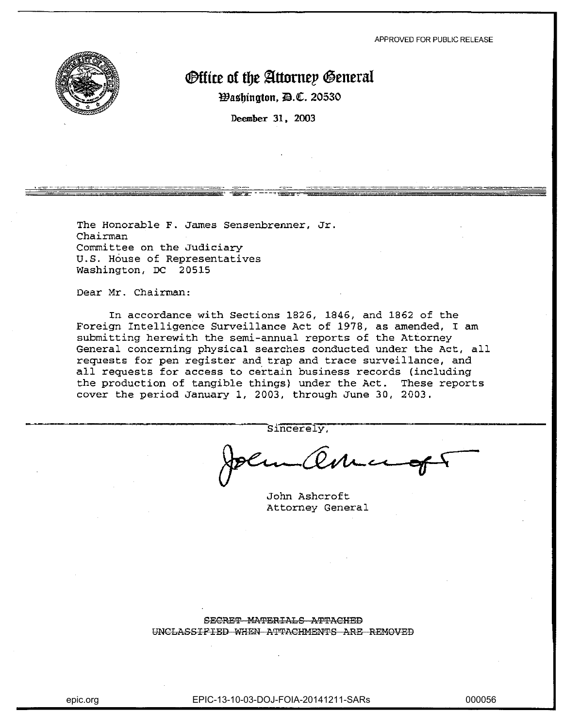

# *<u>@ffice</u>* **of the Attorney General**

**Washington, D.C. 20530** 

Deember 31, 2003

The Honorable F. James Sensenbrenner, Jr. Chairman Committee on the Judiciary U.S. House of Representatives Washington, DC 20515

Dear Mr. Chairman:

In accordance with Sections 1826, 1846, and 1862 of the Foreign Intelligence Surveillance Act of 1978, as amended, I am submitting herewith the semi-annual reports of the Attorney General concerning physical searches conducted under the Act, all requests for pen register and trap and trace surveillance, and all requests for access to certain business records (including the production of tangible things) under the Act. These reports cover the period January 1, 2003, through June 30, 2003.

Sincerely,

John Ashcroft Attorney General

SECRET MATERIALS ATTACHED UNCLASSIFIED WHEN ATTACHMENTS ARE REMOVED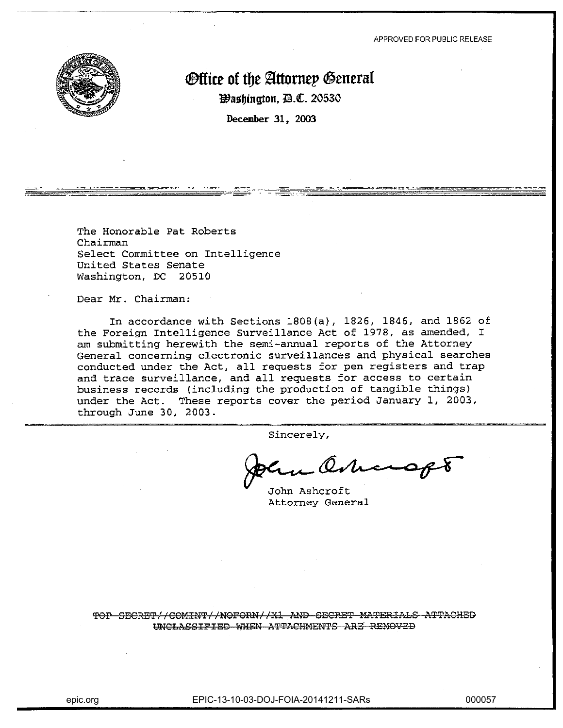

# **Office of the Attorney General**

**Washington, II.C. 20530** 

December 31, 2003

The Honorable Pat Roberts Chairman Select Committee on Intelligence United States Senate Washington, DC 20510

Dear Mr. Chairman:

In accordance with Sections 1808(a), 1826, 1846, and 1862 of the Foreign Intelligence Surveillance Act of 1978, as amended, I am submitting herewith the semi-annual reports of the Attorney General concerning electronic surveillances and physical searches conducted under the Act, all requests for pen registers and trap and trace surveillance, and all requests for access to certain business records (including the production of tangible things) under the Act. These reports cover the period January 1, 2003, through June 30, 2003.

Sincerely,

harap

John Ashcroft Attorney General

TOP SECRET//COMINT//NOFORN//X1 AND SECRET MATERIALS ATTACHED UNCLASSIFIED WHEN ATTACHMENTS ARE REMOVED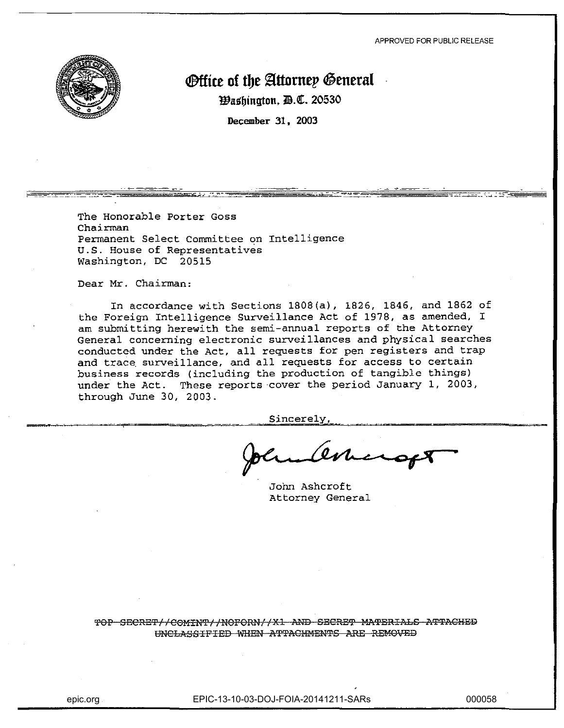

# **Office of the Attorney General**

Washington, D.C. 20530

December 31, 2003

The Honorable Porter Goss Chairman Permanent Select Committee on Intelligence U.S. House of Representatives Washington, DC 20515

Dear Mr. Chairman:

In accordance with Sections 1808(a), 1826, 1846, and 1862 of the Foreign Intelligence Surveillance Act of 1978, as amended, I am submitting herewith the semi-annual reports of the Attorney General concerning electronic surveillances and physical searches conducted under the Act, all requests for pen registers and trap and trace surveillance, and all requests for access to certain business records (including the production of tangible things) under the Act. These reports cover the period January 1, 2003, through June 30, 2003.

Sincerely,

Dene **•** 

John Ashcroft Attorney General

TOP SECRET//COMINT//NOFORN//X1 AND SECRET MATERIALS ATTACHED UNCLASSIFIED WHEN ATTACHMENTS ARE REMOVED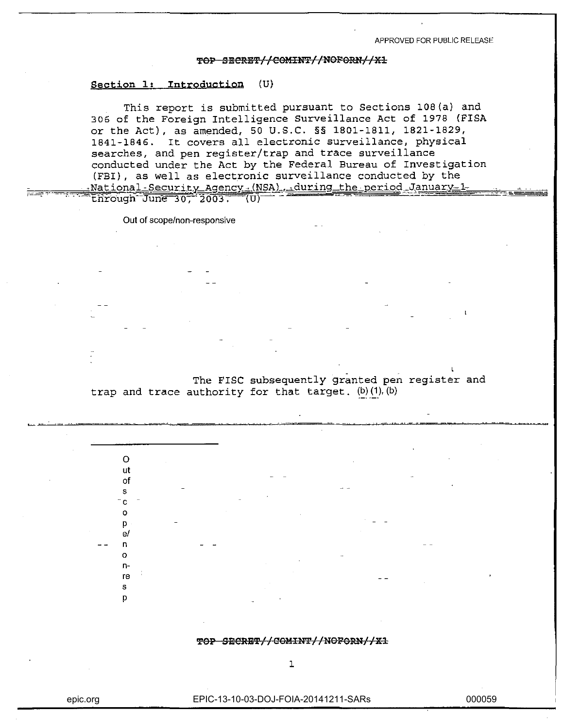#### TOP SECRET//COMINT//NOFORN//X1

#### Section 1: Introduction (U)

This report is submitted pursuant to Sections 108(a) and 306 of the Foreign Intelligence Surveillance Act of 1978 (FISA or the Act), as amended, 50 U.S.C. §§ 1801-1811, 1821-1829, 1841-1846. It covers all electronic surveillance, physical searches, and pen register/trap and trace surveillance conducted under the Act by the Federal Bureau of Investigation (FBI), as well as electronic surveillance conducted by the <u>National Security Agency (NSA), during the period January 1-</u>

through June 30, 2003. -(U)

<u> साम्रल जन्म</u>

Out of scope/non-responsive

The FISC subsequently granted pen register and trap and trace authority for that target.  $(b)$  (1),  $(b)$ 

| TOP SECRET//COMINT//NOFORN//X1 |
|--------------------------------|
|--------------------------------|

 $\Omega$ ut of  $\mathbf{S}$ **c**  $\mathbf{o}$ D e/  $\mathbf{r}$  $\Omega$  $n<sub>1</sub>$ re  $\mathbf{S}$ p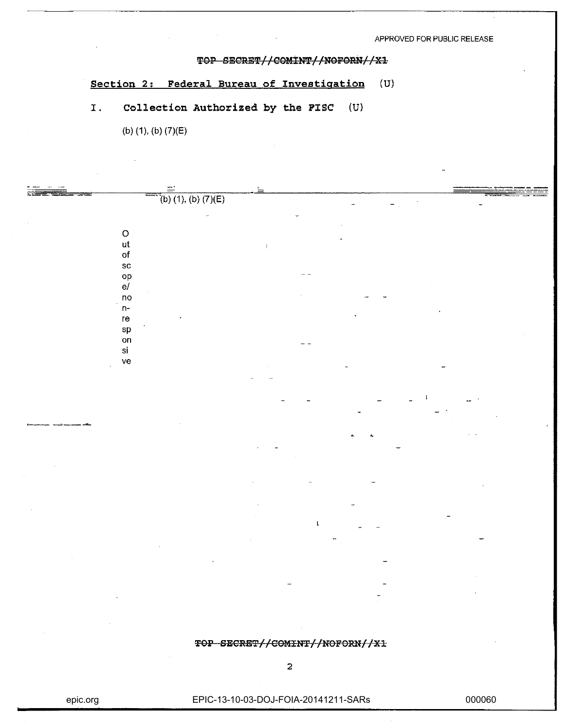#### TOP SECRET//COMINT//NOFORN//X1

### **Section 2: Federal Bureau of Investigation** (U)

# I. **Collection Authorized by the PISC** (U)

(b) (1), (b) (7)(E)

|                                              |                       | $=$ |           |  |
|----------------------------------------------|-----------------------|-----|-----------|--|
|                                              | $(b)$ (1), (b) (7)(E) |     |           |  |
|                                              |                       |     |           |  |
|                                              |                       |     |           |  |
| $\mathbf O$                                  |                       |     |           |  |
| ut                                           |                       |     |           |  |
| of                                           |                       |     |           |  |
|                                              |                       |     |           |  |
| ${\tt sc}$                                   |                       |     |           |  |
| op<br>e/                                     |                       |     |           |  |
|                                              |                       |     |           |  |
| $\mathsf{no}$<br>$\mathcal{L}_{\mathcal{A}}$ |                       |     |           |  |
| $\mathsf{n}$ -                               |                       |     | $\bullet$ |  |
| re                                           |                       |     |           |  |
| ${\sf sp}$                                   |                       |     |           |  |
| on                                           |                       |     |           |  |
| $\mathbf{S}^{\dagger}$                       |                       |     |           |  |
| ${\sf ve}$<br>$\mathbf{r}$                   |                       |     |           |  |
|                                              |                       |     |           |  |
|                                              |                       |     |           |  |
|                                              |                       |     |           |  |
|                                              |                       |     |           |  |
|                                              |                       |     |           |  |
|                                              |                       |     |           |  |
|                                              |                       |     |           |  |
|                                              |                       |     |           |  |
|                                              |                       |     |           |  |
|                                              |                       |     |           |  |

TOP SECRET//COMINT//NOFORN//X1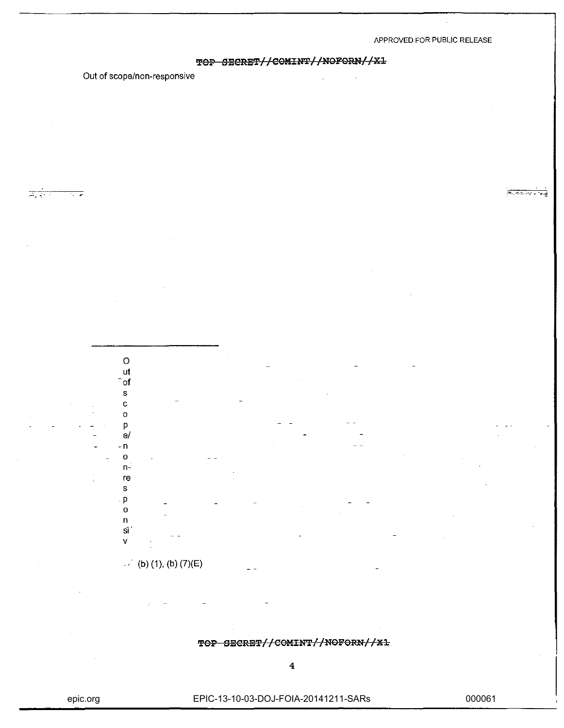**FFLU.** 

### TOP SECRET//COMINT//NOFORN//X1

Out of scope/non-responsive

 $\circ$ ut

स्टबर



TOP SECRET//COMINT//NOFORN//X1

epic.org

EPIC-13-10-03-DOJ-FOIA-20141211-SARs

000061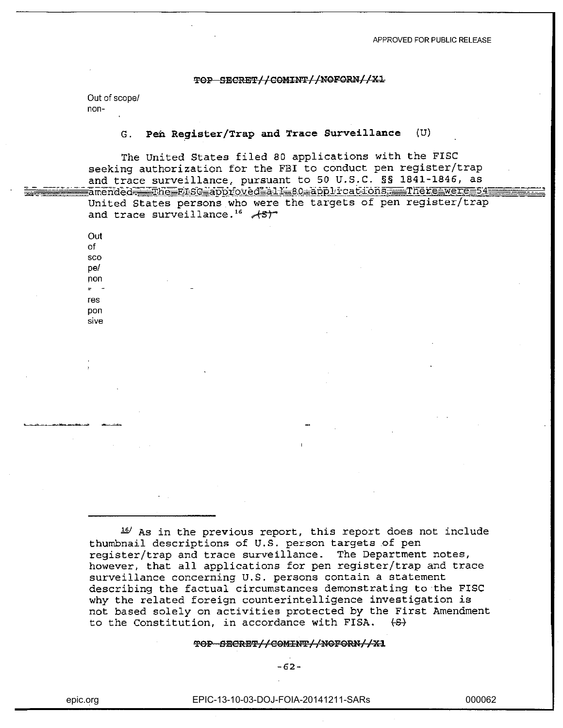#### TOP SECRET//COMINT//NOFORN//X1

Out of scope/ non-

#### Pen Register/Trap and Trace Surveillance  $(U)$  $G_{\perp}$

The United States filed 80 applications with the FISC seeking authorization for the FBI to conduct pen register/trap and trace surveillance, pursuant to 50 U.S.C. §§ 1841-1846, as amended<del>, T</del>he Ensc approved all 100 applications, There were 54

United States persons who were the targets of pen register/trap and trace surveillance.<sup>16</sup> AST

Out of sco <sub>De</sub>/ non  $\blacksquare$  $T = C$ pon sive

16/ As in the previous report, this report does not include thumbnail descriptions of U.S. person targets of pen reqister/trap and trace surveillance. The Department notes, however, that all applications for pen register/trap and trace surveillance concerning U.S. persons contain a statement describing the factual circumstances demonstrating to the FISC why the related foreign counterintelligence investigation is not based solely on activities protected by the First Amendment to the Constitution, in accordance with FISA.  $\leftrightarrow$ 

#### TOP SECRET//COMINT//NOFORN//X1

 $-62-$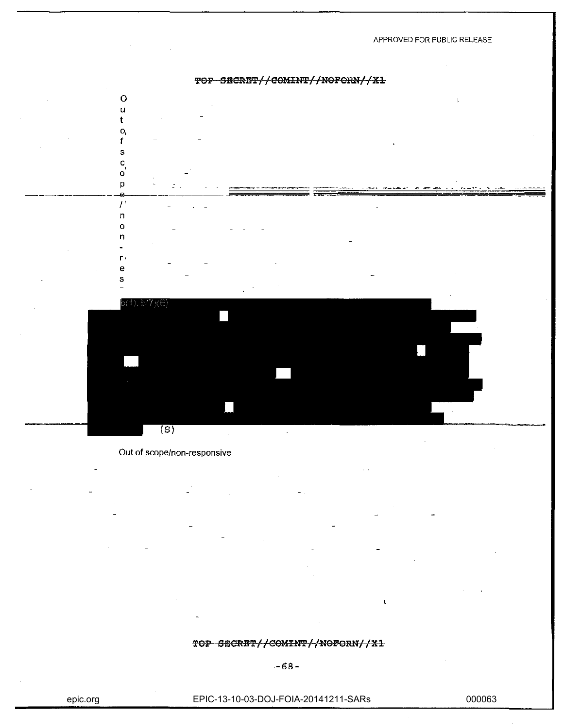

Out of scope/non-responsive

#### TOP SECRET//COMINT//NOFORN//X1

 $\mathbf{I}$ 

 $-68-$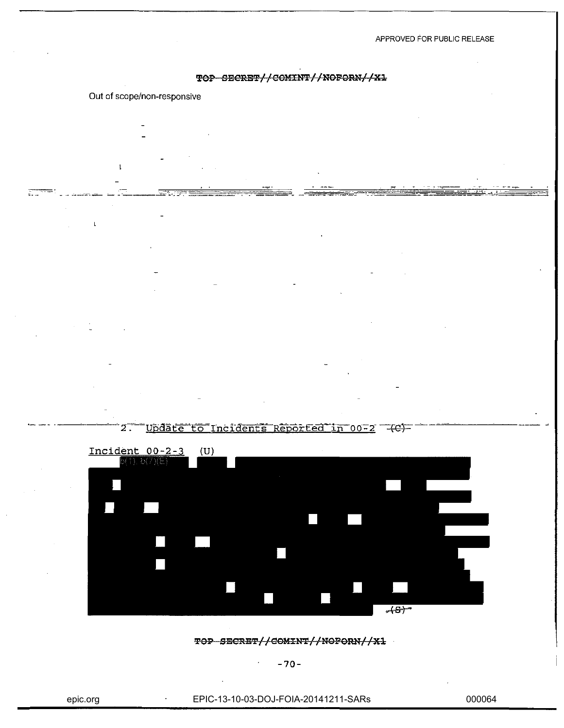#### TOP SECRET//COMINT//NOFORN//X1

#### Out of scope/non-responsive

 $\mathbf{I}$ 

 $\mathbf{t}$ 

 $\mathbb{R}^m$ 





TOP SECRET//COMINT//NOFORN//X1

**-70-**